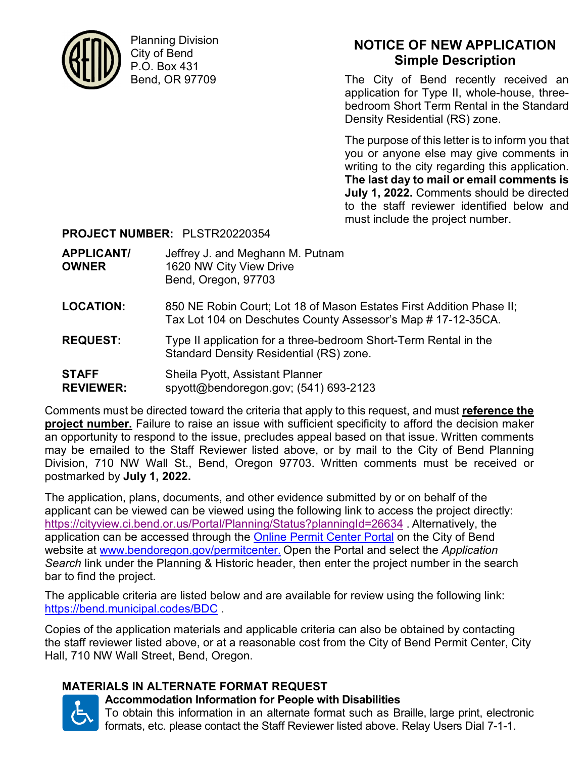

Planning Division City of Bend P.O. Box 431 Bend, OR 97709

# **NOTICE OF NEW APPLICATION Simple Description**

The City of Bend recently received an application for Type II, whole-house, threebedroom Short Term Rental in the Standard Density Residential (RS) zone.

The purpose of this letter is to inform you that you or anyone else may give comments in writing to the city regarding this application. **The last day to mail or email comments is July 1, 2022.** Comments should be directed to the staff reviewer identified below and must include the project number.

### **PROJECT NUMBER:** PLSTR20220354

| <b>APPLICANT/</b> | Jeffrey J. and Meghann M. Putnam |
|-------------------|----------------------------------|
| <b>OWNER</b>      | 1620 NW City View Drive          |
|                   | Bend, Oregon, 97703              |
|                   |                                  |

- **LOCATION:** 850 NE Robin Court; Lot 18 of Mason Estates First Addition Phase II; Tax Lot 104 on Deschutes County Assessor's Map # 17-12-35CA.
- **REQUEST:** Type II application for a three-bedroom Short-Term Rental in the Standard Density Residential (RS) zone.
- **STAFF** Sheila Pyott, Assistant Planner **REVIEWER:** spyott@bendoregon.gov; (541) 693-2123

Comments must be directed toward the criteria that apply to this request, and must **reference the project number.** Failure to raise an issue with sufficient specificity to afford the decision maker an opportunity to respond to the issue, precludes appeal based on that issue. Written comments may be emailed to the Staff Reviewer listed above, or by mail to the City of Bend Planning Division, 710 NW Wall St., Bend, Oregon 97703. Written comments must be received or postmarked by **July 1, 2022.**

The application, plans, documents, and other evidence submitted by or on behalf of the applicant can be viewed can be viewed using the following link to access the project directly: https://cityview.ci.bend.or.us/Portal/Planning/Status?planningId=26634 . Alternatively, the application can be accessed through the Online Permit Center Portal on the City of Bend website at www.bendoregon.gov/permitcenter. Open the Portal and select the *Application Search* link under the Planning & Historic header, then enter the project number in the search bar to find the project.

The applicable criteria are listed below and are available for review using the following link: https://bend.municipal.codes/BDC .

Copies of the application materials and applicable criteria can also be obtained by contacting the staff reviewer listed above, or at a reasonable cost from the City of Bend Permit Center, City Hall, 710 NW Wall Street, Bend, Oregon.

## **MATERIALS IN ALTERNATE FORMAT REQUEST**



## **Accommodation Information for People with Disabilities**

To obtain this information in an alternate format such as Braille, large print, electronic formats, etc. please contact the Staff Reviewer listed above. Relay Users Dial 7-1-1.